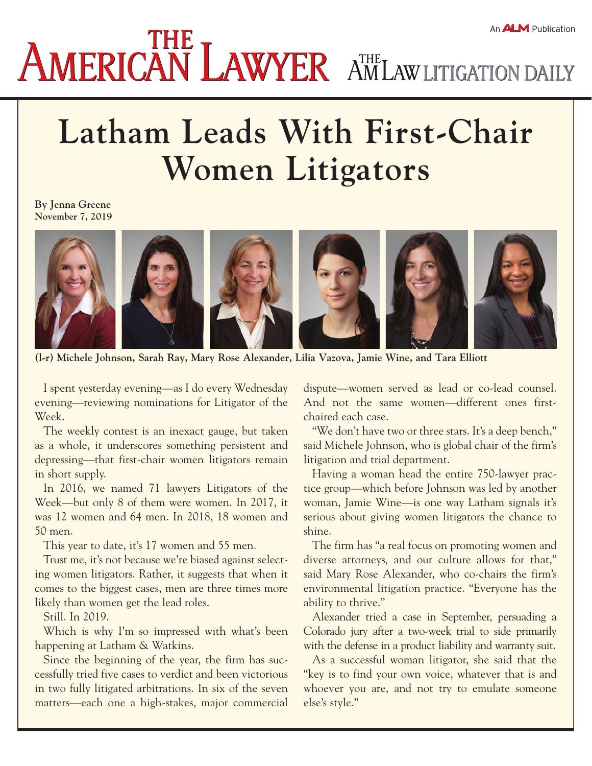## **Latham Leads With First-Chair Women Litigators**

**By Jenna Greene November 7, 2019**



**(l-r) Michele Johnson, Sarah Ray, Mary Rose Alexander, Lilia Vazova, Jamie Wine, and Tara Elliott**

I spent yesterday evening—as I do every Wednesday evening—reviewing nominations for Litigator of the Week.

The weekly contest is an inexact gauge, but taken as a whole, it underscores something persistent and depressing—that first-chair women litigators remain in short supply.

In 2016, we named 71 lawyers Litigators of the Week—but only 8 of them were women. In 2017, it was 12 women and 64 men. In 2018, 18 women and 50 men.

This year to date, it's 17 women and 55 men.

Trust me, it's not because we're biased against selecting women litigators. Rather, it suggests that when it comes to the biggest cases, men are three times more likely than women get the lead roles.

Still. In 2019.

Which is why I'm so impressed with what's been happening at Latham & Watkins.

Since the beginning of the year, the firm has successfully tried five cases to verdict and been victorious in two fully litigated arbitrations. In six of the seven matters—each one a high-stakes, major commercial

dispute—women served as lead or co-lead counsel. And not the same women—different ones firstchaired each case.

"We don't have two or three stars. It's a deep bench," said Michele Johnson, who is global chair of the firm's litigation and trial department.

Having a woman head the entire 750-lawyer practice group—which before Johnson was led by another woman, Jamie Wine—is one way Latham signals it's serious about giving women litigators the chance to shine.

The firm has "a real focus on promoting women and diverse attorneys, and our culture allows for that," said Mary Rose Alexander, who co-chairs the firm's environmental litigation practice. "Everyone has the ability to thrive."

Alexander tried a case in September, persuading a Colorado jury after a two-week trial to side primarily with the defense in a product liability and warranty suit.

As a successful woman litigator, she said that the "key is to find your own voice, whatever that is and whoever you are, and not try to emulate someone else's style."